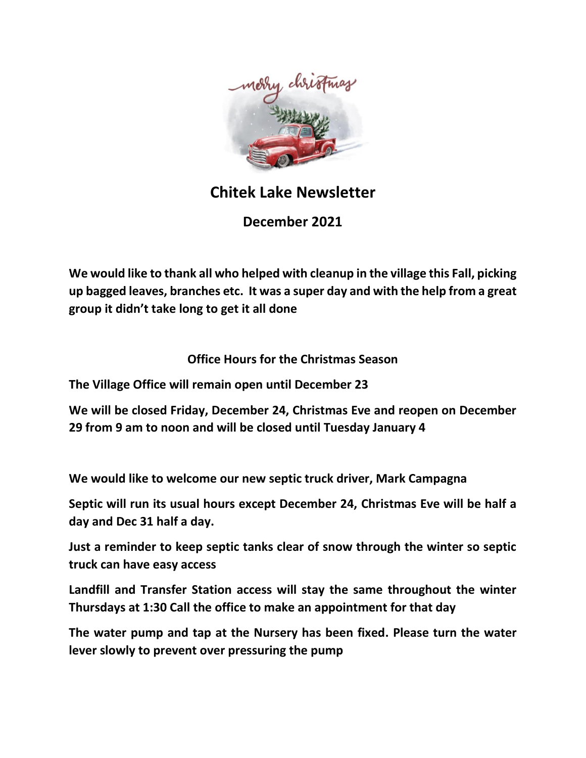

# **Chitek Lake Newsletter**

**December 2021**

**We would like to thank all who helped with cleanup in the village this Fall, picking up bagged leaves, branches etc. It was a super day and with the help from a great group it didn't take long to get it all done**

# **Office Hours for the Christmas Season**

**The Village Office will remain open until December 23** 

**We will be closed Friday, December 24, Christmas Eve and reopen on December 29 from 9 am to noon and will be closed until Tuesday January 4** 

**We would like to welcome our new septic truck driver, Mark Campagna**

**Septic will run its usual hours except December 24, Christmas Eve will be half a day and Dec 31 half a day.**

**Just a reminder to keep septic tanks clear of snow through the winter so septic truck can have easy access**

**Landfill and Transfer Station access will stay the same throughout the winter Thursdays at 1:30 Call the office to make an appointment for that day**

**The water pump and tap at the Nursery has been fixed. Please turn the water lever slowly to prevent over pressuring the pump**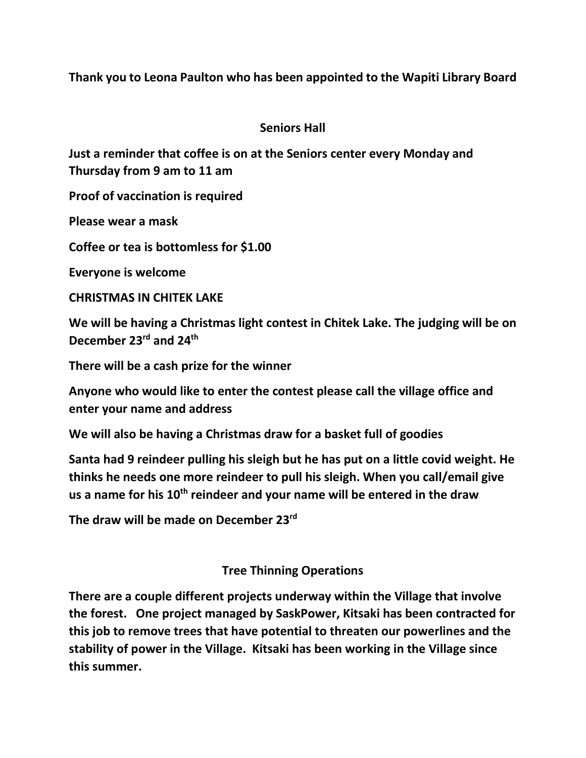**Thank you to Leona Paulton who has been appointed to the Wapiti Library Board**

### **Seniors Hall**

**Just a reminder that coffee is on at the Seniors center every Monday and Thursday from 9 am to 11 am**

**Proof of vaccination is required**

**Please wear a mask**

**Coffee or tea is bottomless for \$1.00**

**Everyone is welcome**

**CHRISTMAS IN CHITEK LAKE**

**We will be having a Christmas light contest in Chitek Lake. The judging will be on December 23rd and 24th**

**There will be a cash prize for the winner**

**Anyone who would like to enter the contest please call the village office and enter your name and address**

**We will also be having a Christmas draw for a basket full of goodies**

**Santa had 9 reindeer pulling his sleigh but he has put on a little covid weight. He thinks he needs one more reindeer to pull his sleigh. When you call/email give us a name for his 10th reindeer and your name will be entered in the draw** 

**The draw will be made on December 23rd**

### **Tree Thinning Operations**

**There are a couple different projects underway within the Village that involve the forest. One project managed by SaskPower, Kitsaki has been contracted for this job to remove trees that have potential to threaten our powerlines and the stability of power in the Village. Kitsaki has been working in the Village since this summer.**